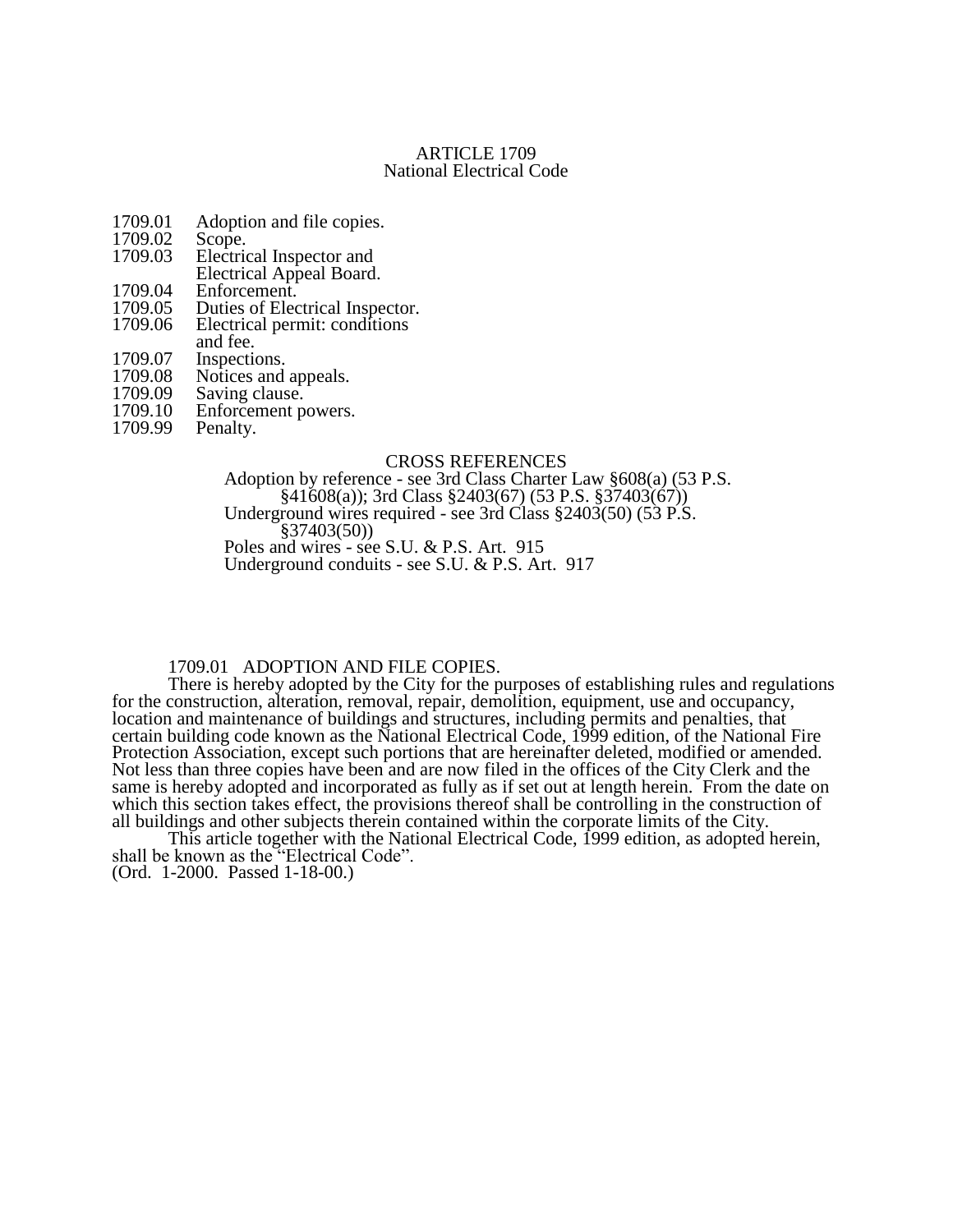## ARTICLE 1709 National Electrical Code

- 1709.01 Adoption and file copies.<br>1709.02 Scope.
- 1709.02<br>1709.03
- Electrical Inspector and Electrical Appeal Board.
- 1709.04 Enforcement.<br>1709.05 Duties of Elec
- 
- 1709.05 Duties of Electrical Inspector.<br>1709.06 Electrical permit: conditions Electrical permit: conditions
- and fee.
- 
- 1709.07 Inspections.<br>1709.08 Notices and 1709.08 Notices and appeals.<br>1709.09 Saving clause.
- 1709.09 Saving clause.<br>1709.10 Enforcement p
- 1709.10 Enforcement powers.<br>1709.99 Penalty.
- Penalty.

### CROSS REFERENCES

Adoption by reference - see 3rd Class Charter Law §608(a) (53 P.S.  $§41608(a)$ ; 3rd Class  $§2403(67)$  (53 P.S.  $§37403(67)$ ) Underground wires required - see 3rd Class §2403(50) (53 P.S. §37403(50)) Poles and wires - see S.U. & P.S. Art. 915 Underground conduits - see S.U. & P.S. Art. 917

# 1709.01 ADOPTION AND FILE COPIES.

There is hereby adopted by the City for the purposes of establishing rules and regulations for the construction, alteration, removal, repair, demolition, equipment, use and occupancy, location and maintenance of buildings and structures, including permits and penalties, that certain building code known as the National Electrical Code, 1999 edition, of the National Fire Protection Association, except such portions that are hereinafter deleted, modified or amended. Not less than three copies have been and are now filed in the offices of the City Clerk and the same is hereby adopted and incorporated as fully as if set out at length herein. From the date on which this section takes effect, the provisions thereof shall be controlling in the construction of all buildings and other subjects therein contained within the corporate limits of the City.

This article together with the National Electrical Code, 1999 edition, as adopted herein, shall be known as the "Electrical Code".

(Ord. 1-2000. Passed 1-18-00.)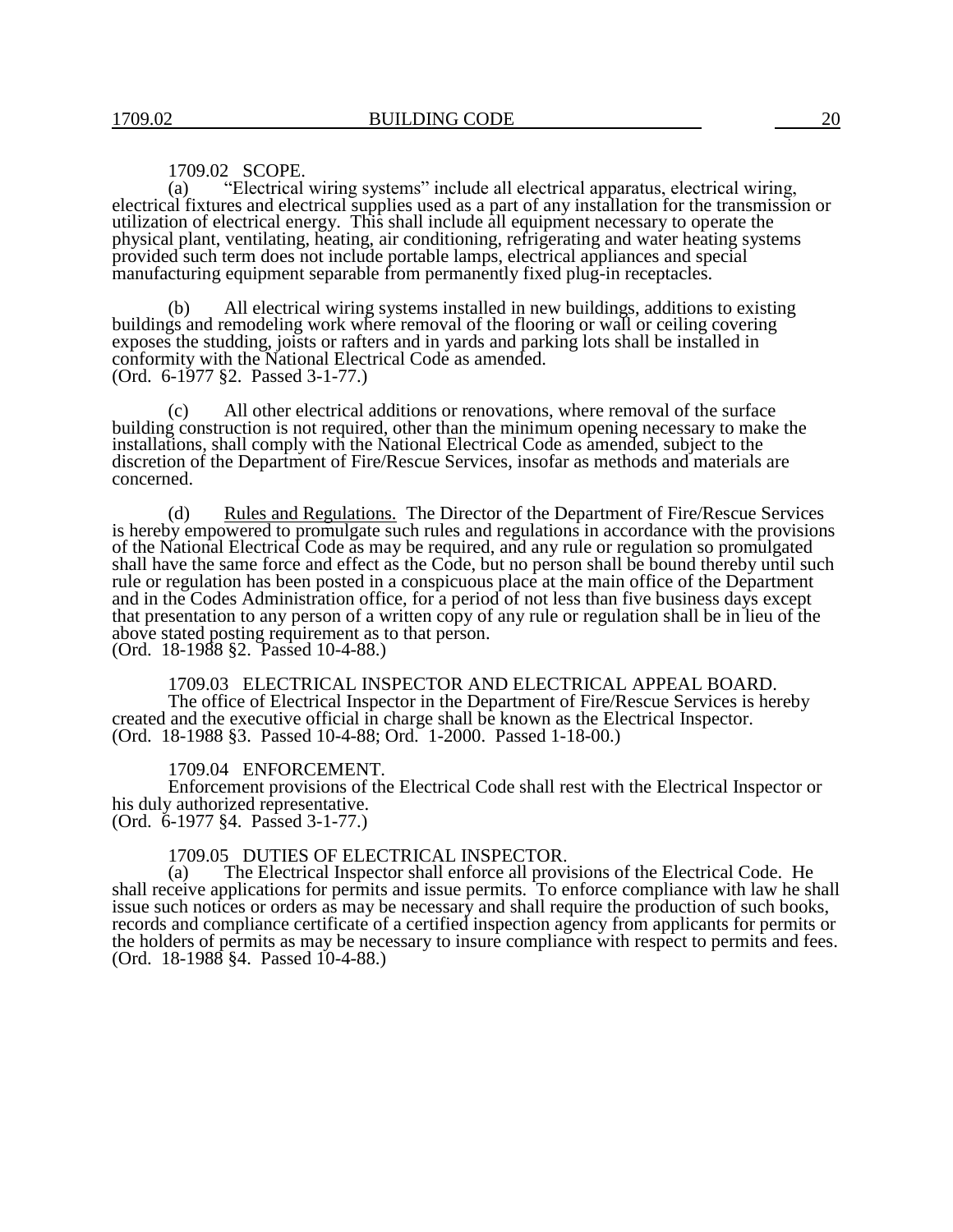## 1709.02 SCOPE.

(a) "Electrical wiring systems" include all electrical apparatus, electrical wiring, electrical fixtures and electrical supplies used as a part of any installation for the transmission or utilization of electrical energy. This shall include all equipment necessary to operate the physical plant, ventilating, heating, air conditioning, refrigerating and water heating systems provided such term does not include portable lamps, electrical appliances and special manufacturing equipment separable from permanently fixed plug-in receptacles.

(b) All electrical wiring systems installed in new buildings, additions to existing buildings and remodeling work where removal of the flooring or wall or ceiling covering exposes the studding, joists or rafters and in yards and parking lots shall be installed in conformity with the National Electrical Code as amended. (Ord. 6-1977 §2. Passed 3-1-77.)

(c) All other electrical additions or renovations, where removal of the surface building construction is not required, other than the minimum opening necessary to make the installations, shall comply with the National Electrical Code as amended, subject to the discretion of the Department of Fire/Rescue Services, insofar as methods and materials are concerned.

(d) Rules and Regulations. The Director of the Department of Fire/Rescue Services is hereby empowered to promulgate such rules and regulations in accordance with the provisions of the National Electrical Code as may be required, and any rule or regulation so promulgated shall have the same force and effect as the Code, but no person shall be bound thereby until such rule or regulation has been posted in a conspicuous place at the main office of the Department and in the Codes Administration office, for a period of not less than five business days except that presentation to any person of a written copy of any rule or regulation shall be in lieu of the above stated posting requirement as to that person.

(Ord. 18-1988 §2. Passed 10-4-88.)

1709.03 ELECTRICAL INSPECTOR AND ELECTRICAL APPEAL BOARD. The office of Electrical Inspector in the Department of Fire/Rescue Services is hereby created and the executive official in charge shall be known as the Electrical Inspector. (Ord. 18-1988 §3. Passed 10-4-88; Ord. 1-2000. Passed 1-18-00.)

#### 1709.04 ENFORCEMENT.

Enforcement provisions of the Electrical Code shall rest with the Electrical Inspector or his duly authorized representative. (Ord. 6-1977 §4. Passed 3-1-77.)

# 1709.05 DUTIES OF ELECTRICAL INSPECTOR.<br>(a) The Electrical Inspector shall enforce all provi

The Electrical Inspector shall enforce all provisions of the Electrical Code. He shall receive applications for permits and issue permits. To enforce compliance with law he shall issue such notices or orders as may be necessary and shall require the production of such books, records and compliance certificate of a certified inspection agency from applicants for permits or the holders of permits as may be necessary to insure compliance with respect to permits and fees. (Ord. 18-1988 §4. Passed 10-4-88.)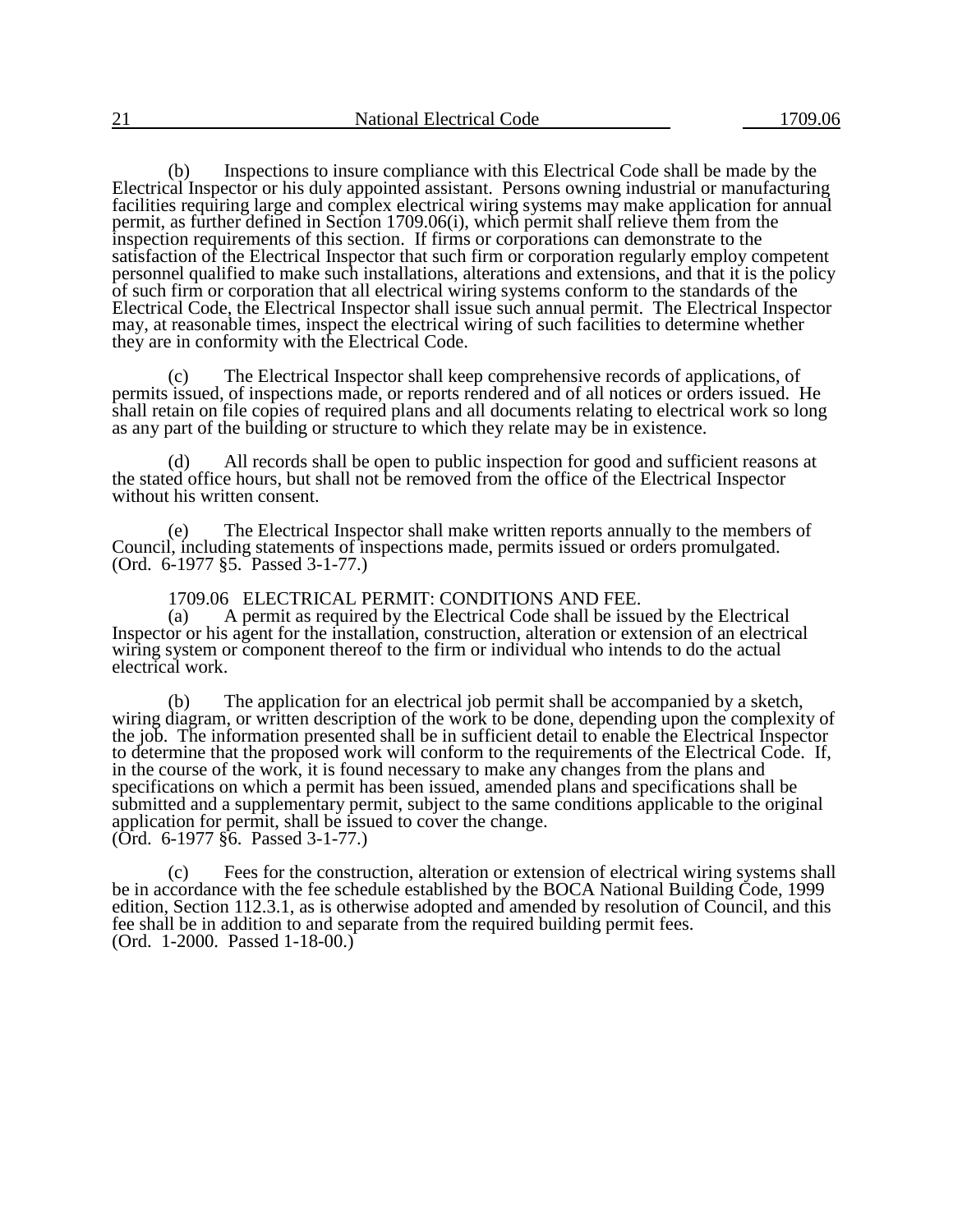(b) Inspections to insure compliance with this Electrical Code shall be made by the Electrical Inspector or his duly appointed assistant. Persons owning industrial or manufacturing facilities requiring large and complex electrical wiring systems may make application for annual permit, as further defined in Section 1709.06(i), which permit shall relieve them from the inspection requirements of this section. If firms or corporations can demonstrate to the satisfaction of the Electrical Inspector that such firm or corporation regularly employ competent personnel qualified to make such installations, alterations and extensions, and that it is the policy of such firm or corporation that all electrical wiring systems conform to the standards of the Electrical Code, the Electrical Inspector shall issue such annual permit. The Electrical Inspector may, at reasonable times, inspect the electrical wiring of such facilities to determine whether they are in conformity with the Electrical Code.

(c) The Electrical Inspector shall keep comprehensive records of applications, of permits issued, of inspections made, or reports rendered and of all notices or orders issued. He shall retain on file copies of required plans and all documents relating to electrical work so long as any part of the building or structure to which they relate may be in existence.

(d) All records shall be open to public inspection for good and sufficient reasons at the stated office hours, but shall not be removed from the office of the Electrical Inspector without his written consent.

(e) The Electrical Inspector shall make written reports annually to the members of Council, including statements of inspections made, permits issued or orders promulgated. (Ord. 6-1977 §5. Passed 3-1-77.)

1709.06 ELECTRICAL PERMIT: CONDITIONS AND FEE.

(a) A permit as required by the Electrical Code shall be issued by the Electrical Inspector or his agent for the installation, construction, alteration or extension of an electrical wiring system or component thereof to the firm or individual who intends to do the actual electrical work.

(b) The application for an electrical job permit shall be accompanied by a sketch, wiring diagram, or written description of the work to be done, depending upon the complexity of the job. The information presented shall be in sufficient detail to enable the Electrical Inspector to determine that the proposed work will conform to the requirements of the Electrical Code. If, in the course of the work, it is found necessary to make any changes from the plans and specifications on which a permit has been issued, amended plans and specifications shall be submitted and a supplementary permit, subject to the same conditions applicable to the original application for permit, shall be issued to cover the change. (Ord. 6-1977 §6. Passed 3-1-77.)

(c) Fees for the construction, alteration or extension of electrical wiring systems shall be in accordance with the fee schedule established by the BOCA National Building Code, 1999 edition, Section 112.3.1, as is otherwise adopted and amended by resolution of Council, and this fee shall be in addition to and separate from the required building permit fees. (Ord. 1-2000. Passed 1-18-00.)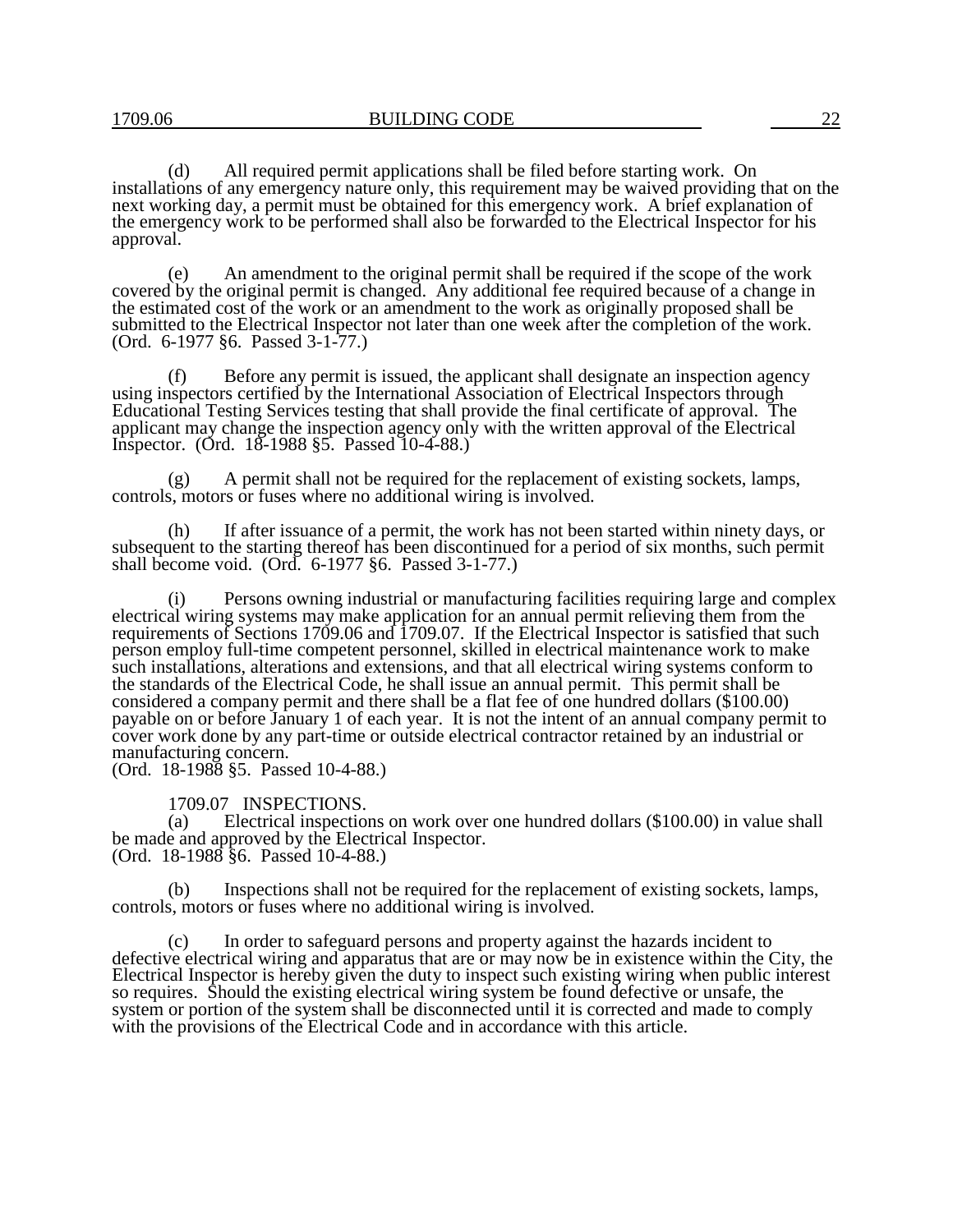(d) All required permit applications shall be filed before starting work. On installations of any emergency nature only, this requirement may be waived providing that on the next working day, a permit must be obtained for this emergency work. A brief explanation of the emergency work to be performed shall also be forwarded to the Electrical Inspector for his approval.

(e) An amendment to the original permit shall be required if the scope of the work covered by the original permit is changed. Any additional fee required because of a change in the estimated cost of the work or an amendment to the work as originally proposed shall be submitted to the Electrical Inspector not later than one week after the completion of the work. (Ord. 6-1977 §6. Passed 3-1-77.)

(f) Before any permit is issued, the applicant shall designate an inspection agency using inspectors certified by the International Association of Electrical Inspectors through Educational Testing Services testing that shall provide the final certificate of approval. The applicant may change the inspection agency only with the written approval of the Electrical Inspector. (Ord. 18-1988 §5. Passed 10-4-88.)

(g) A permit shall not be required for the replacement of existing sockets, lamps, controls, motors or fuses where no additional wiring is involved.

(h) If after issuance of a permit, the work has not been started within ninety days, or subsequent to the starting thereof has been discontinued for a period of six months, such permit shall become void. (Ord. 6-1977 §6. Passed 3-1-77.)

(i) Persons owning industrial or manufacturing facilities requiring large and complex electrical wiring systems may make application for an annual permit relieving them from the requirements of Sections 1709.06 and 1709.07. If the Electrical Inspector is satisfied that such person employ full-time competent personnel, skilled in electrical maintenance work to make such installations, alterations and extensions, and that all electrical wiring systems conform to the standards of the Electrical Code, he shall issue an annual permit. This permit shall be considered a company permit and there shall be a flat fee of one hundred dollars (\$100.00) payable on or before January 1 of each year. It is not the intent of an annual company permit to cover work done by any part-time or outside electrical contractor retained by an industrial or manufacturing concern.

(Ord. 18-1988 §5. Passed 10-4-88.)

## 1709.07 INSPECTIONS.

(a) Electrical inspections on work over one hundred dollars (\$100.00) in value shall be made and approved by the Electrical Inspector. (Ord. 18-1988 §6. Passed 10-4-88.)

(b) Inspections shall not be required for the replacement of existing sockets, lamps, controls, motors or fuses where no additional wiring is involved.

(c) In order to safeguard persons and property against the hazards incident to defective electrical wiring and apparatus that are or may now be in existence within the City, the Electrical Inspector is hereby given the duty to inspect such existing wiring when public interest so requires. Should the existing electrical wiring system be found defective or unsafe, the system or portion of the system shall be disconnected until it is corrected and made to comply with the provisions of the Electrical Code and in accordance with this article.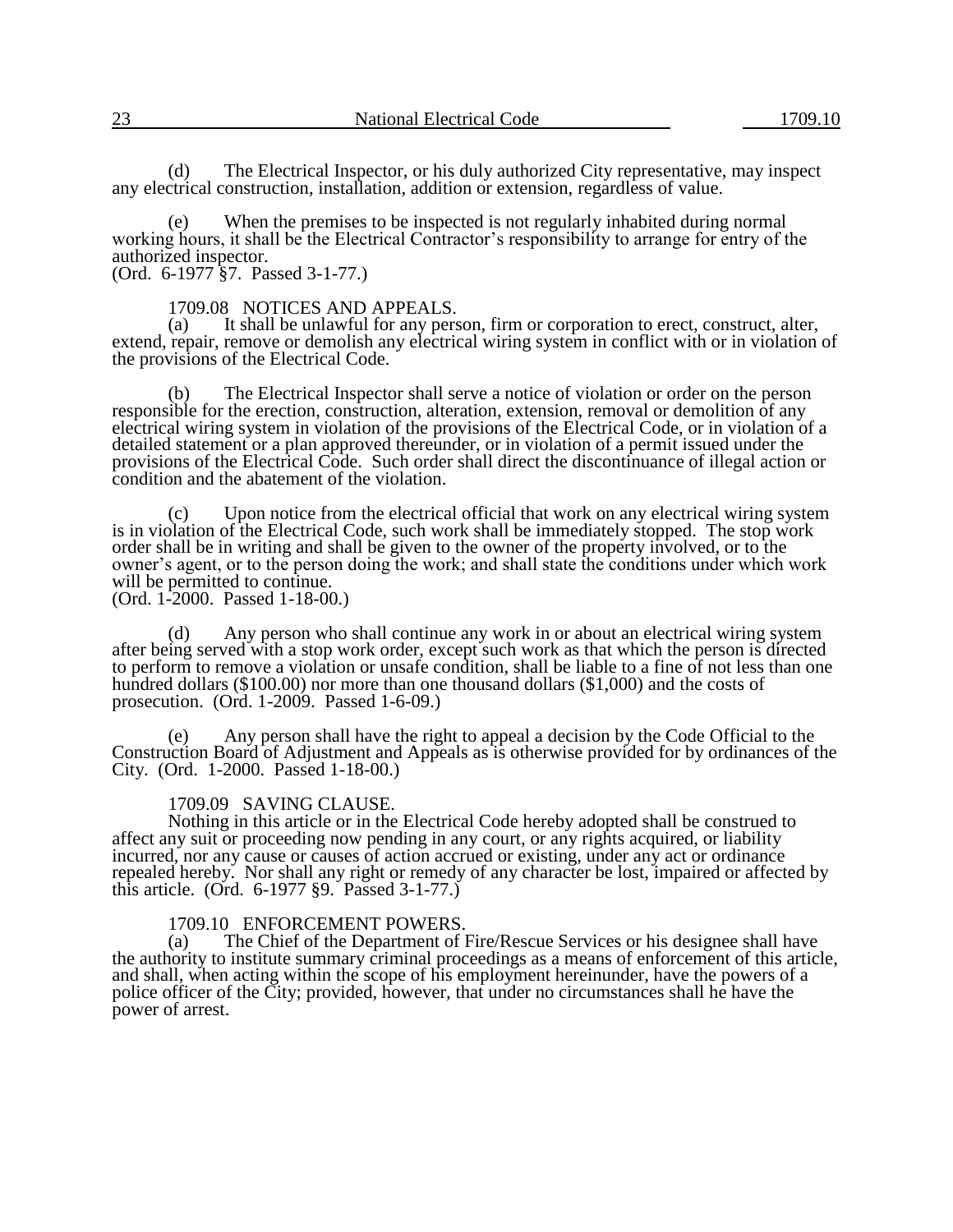(d) The Electrical Inspector, or his duly authorized City representative, may inspect any electrical construction, installation, addition or extension, regardless of value.

(e) When the premises to be inspected is not regularly inhabited during normal working hours, it shall be the Electrical Contractor's responsibility to arrange for entry of the authorized inspector. (Ord. 6-1977 §7. Passed 3-1-77.)

1709.08 NOTICES AND APPEALS.<br>(a) It shall be unlawful for any pers

It shall be unlawful for any person, firm or corporation to erect, construct, alter, extend, repair, remove or demolish any electrical wiring system in conflict with or in violation of the provisions of the Electrical Code.

The Electrical Inspector shall serve a notice of violation or order on the person responsible for the erection, construction, alteration, extension, removal or demolition of any electrical wiring system in violation of the provisions of the Electrical Code, or in violation of a detailed statement or a plan approved thereunder, or in violation of a permit issued under the provisions of the Electrical Code. Such order shall direct the discontinuance of illegal action or condition and the abatement of the violation.

(c) Upon notice from the electrical official that work on any electrical wiring system is in violation of the Electrical Code, such work shall be immediately stopped. The stop work order shall be in writing and shall be given to the owner of the property involved, or to the owner's agent, or to the person doing the work; and shall state the conditions under which work will be permitted to continue. (Ord. 1-2000. Passed 1-18-00.)

(d) Any person who shall continue any work in or about an electrical wiring system after being served with a stop work order, except such work as that which the person is directed to perform to remove a violation or unsafe condition, shall be liable to a fine of not less than one hundred dollars (\$100.00) nor more than one thousand dollars (\$1,000) and the costs of prosecution. (Ord. 1-2009. Passed 1-6-09.)

(e) Any person shall have the right to appeal a decision by the Code Official to the Construction Board of Adjustment and Appeals as is otherwise provided for by ordinances of the City. (Ord. 1-2000. Passed 1-18-00.)

## 1709.09 SAVING CLAUSE.

Nothing in this article or in the Electrical Code hereby adopted shall be construed to affect any suit or proceeding now pending in any court, or any rights acquired, or liability incurred, nor any cause or causes of action accrued or existing, under any act or ordinance repealed hereby. Nor shall any right or remedy of any character be lost, impaired or affected by this article. (Ord. 6-1977 §9. Passed 3-1-77.)

### 1709.10 ENFORCEMENT POWERS.

(a) The Chief of the Department of Fire/Rescue Services or his designee shall have the authority to institute summary criminal proceedings as a means of enforcement of this article, and shall, when acting within the scope of his employment hereinunder, have the powers of a police officer of the City; provided, however, that under no circumstances shall he have the power of arrest.